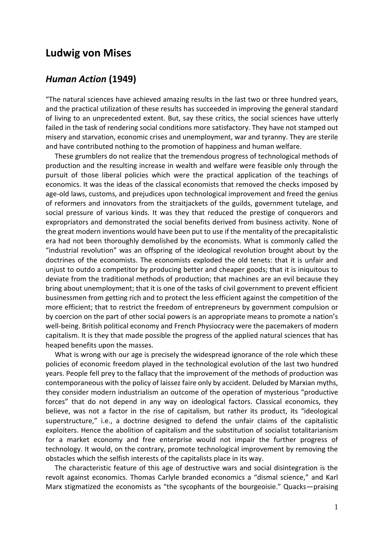## **Ludwig von Mises**

## *Human Action* **(1949)**

"The natural sciences have achieved amazing results in the last two or three hundred years, and the practical utilization of these results has succeeded in improving the general standard of living to an unprecedented extent. But, say these critics, the social sciences have utterly failed in the task of rendering social conditions more satisfactory. They have not stamped out misery and starvation, economic crises and unemployment, war and tyranny. They are sterile and have contributed nothing to the promotion of happiness and human welfare.

These grumblers do not realize that the tremendous progress of technological methods of production and the resulting increase in wealth and welfare were feasible only through the pursuit of those liberal policies which were the practical application of the teachings of economics. It was the ideas of the classical economists that removed the checks imposed by age-old laws, customs, and prejudices upon technological improvement and freed the genius of reformers and innovators from the straitjackets of the guilds, government tutelage, and social pressure of various kinds. It was they that reduced the prestige of conquerors and expropriators and demonstrated the social benefits derived from business activity. None of the great modern inventions would have been put to use if the mentality of the precapitalistic era had not been thoroughly demolished by the economists. What is commonly called the "industrial revolution" was an offspring of the ideological revolution brought about by the doctrines of the economists. The economists exploded the old tenets: that it is unfair and unjust to outdo a competitor by producing better and cheaper goods; that it is iniquitous to deviate from the traditional methods of production; that machines are an evil because they bring about unemployment; that it is one of the tasks of civil government to prevent efficient businessmen from getting rich and to protect the less efficient against the competition of the more efficient; that to restrict the freedom of entrepreneurs by government compulsion or by coercion on the part of other social powers is an appropriate means to promote a nation's well-being. British political economy and French Physiocracy were the pacemakers of modern capitalism. It is they that made possible the progress of the applied natural sciences that has heaped benefits upon the masses.

What is wrong with our age is precisely the widespread ignorance of the role which these policies of economic freedom played in the technological evolution of the last two hundred years. People fell prey to the fallacy that the improvement of the methods of production was contemporaneous with the policy of laissez faire only by accident. Deluded by Marxian myths, they consider modern industrialism an outcome of the operation of mysterious "productive forces" that do not depend in any way on ideological factors. Classical economics, they believe, was not a factor in the rise of capitalism, but rather its product, its "ideological superstructure," i.e., a doctrine designed to defend the unfair claims of the capitalistic exploiters. Hence the abolition of capitalism and the substitution of socialist totalitarianism for a market economy and free enterprise would not impair the further progress of technology. It would, on the contrary, promote technological improvement by removing the obstacles which the selfish interests of the capitalists place in its way.

The characteristic feature of this age of destructive wars and social disintegration is the revolt against economics. Thomas Carlyle branded economics a "dismal science," and Karl Marx stigmatized the economists as "the sycophants of the bourgeoisie." Quacks—praising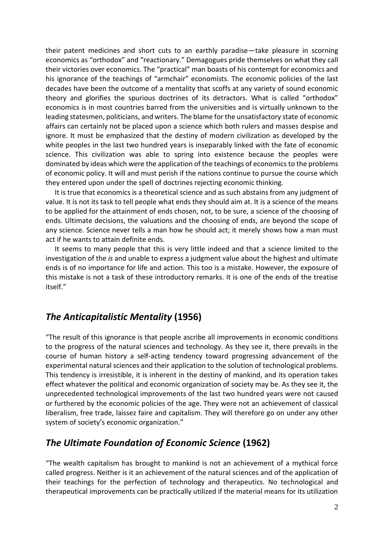their patent medicines and short cuts to an earthly paradise—take pleasure in scorning economics as "orthodox" and "reactionary." Demagogues pride themselves on what they call their victories over economics. The "practical" man boasts of his contempt for economics and his ignorance of the teachings of "armchair" economists. The economic policies of the last decades have been the outcome of a mentality that scoffs at any variety of sound economic theory and glorifies the spurious doctrines of its detractors. What is called "orthodox" economics is in most countries barred from the universities and is virtually unknown to the leading statesmen, politicians, and writers. The blame for the unsatisfactory state of economic affairs can certainly not be placed upon a science which both rulers and masses despise and ignore. It must be emphasized that the destiny of modern civilization as developed by the white peoples in the last two hundred years is inseparably linked with the fate of economic science. This civilization was able to spring into existence because the peoples were dominated by ideas which were the application of the teachings of economics to the problems of economic policy. It will and must perish if the nations continue to pursue the course which they entered upon under the spell of doctrines rejecting economic thinking.

It is true that economics is a theoretical science and as such abstains from any judgment of value. It is not its task to tell people what ends they should aim at. It is a science of the means to be applied for the attainment of ends chosen, not, to be sure, a science of the choosing of ends. Ultimate decisions, the valuations and the choosing of ends, are beyond the scope of any science. Science never tells a man how he should act; it merely shows how a man must act if he wants to attain definite ends.

It seems to many people that this is very little indeed and that a science limited to the investigation of the *is* and unable to express a judgment value about the highest and ultimate ends is of no importance for life and action. This too is a mistake. However, the exposure of this mistake is not a task of these introductory remarks. It is one of the ends of the treatise itself."

## *The Anticapitalistic Mentality* **(1956)**

"The result of this ignorance is that people ascribe all improvements in economic conditions to the progress of the natural sciences and technology. As they see it, there prevails in the course of human history a self-acting tendency toward progressing advancement of the experimental natural sciences and their application to the solution of technological problems. This tendency is irresistible, it is inherent in the destiny of mankind, and its operation takes effect whatever the political and economic organization of society may be. As they see it, the unprecedented technological improvements of the last two hundred years were not caused or furthered by the economic policies of the age. They were not an achievement of classical liberalism, free trade, laissez faire and capitalism. They will therefore go on under any other system of society's economic organization."

## *The Ultimate Foundation of Economic Science* **(1962)**

"The wealth capitalism has brought to mankind is not an achievement of a mythical force called progress. Neither is it an achievement of the natural sciences and of the application of their teachings for the perfection of technology and therapeutics. No technological and therapeutical improvements can be practically utilized if the material means for its utilization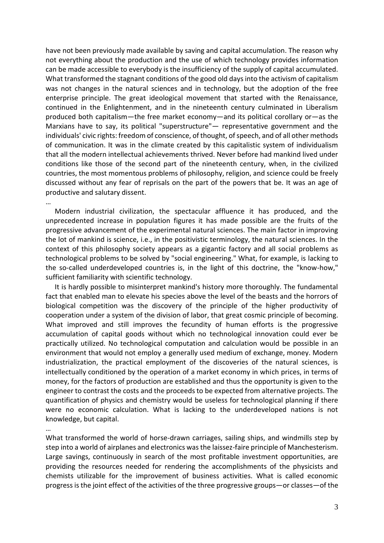have not been previously made available by saving and capital accumulation. The reason why not everything about the production and the use of which technology provides information can be made accessible to everybody is the insufficiency of the supply of capital accumulated. What transformed the stagnant conditions of the good old days into the activism of capitalism was not changes in the natural sciences and in technology, but the adoption of the free enterprise principle. The great ideological movement that started with the Renaissance, continued in the Enlightenment, and in the nineteenth century culminated in Liberalism produced both capitalism—the free market economy—and its political corollary or—as the Marxians have to say, its political "superstructure"— representative government and the individuals' civic rights: freedom of conscience, of thought, of speech, and of all other methods of communication. It was in the climate created by this capitalistic system of individualism that all the modern intellectual achievements thrived. Never before had mankind lived under conditions like those of the second part of the nineteenth century, when, in the civilized countries, the most momentous problems of philosophy, religion, and science could be freely discussed without any fear of reprisals on the part of the powers that be. It was an age of productive and salutary dissent.

Modern industrial civilization, the spectacular affluence it has produced, and the unprecedented increase in population figures it has made possible are the fruits of the progressive advancement of the experimental natural sciences. The main factor in improving the lot of mankind is science, i.e., in the positivistic terminology, the natural sciences. In the context of this philosophy society appears as a gigantic factory and all social problems as technological problems to be solved by "social engineering." What, for example, is lacking to the so-called underdeveloped countries is, in the light of this doctrine, the "know-how," sufficient familiarity with scientific technology.

It is hardly possible to misinterpret mankind's history more thoroughly. The fundamental fact that enabled man to elevate his species above the level of the beasts and the horrors of biological competition was the discovery of the principle of the higher productivity of cooperation under a system of the division of labor, that great cosmic principle of becoming. What improved and still improves the fecundity of human efforts is the progressive accumulation of capital goods without which no technological innovation could ever be practically utilized. No technological computation and calculation would be possible in an environment that would not employ a generally used medium of exchange, money. Modern industrialization, the practical employment of the discoveries of the natural sciences, is intellectually conditioned by the operation of a market economy in which prices, in terms of money, for the factors of production are established and thus the opportunity is given to the engineer to contrast the costs and the proceeds to be expected from alternative projects. The quantification of physics and chemistry would be useless for technological planning if there were no economic calculation. What is lacking to the underdeveloped nations is not knowledge, but capital.

…

…

What transformed the world of horse-drawn carriages, sailing ships, and windmills step by step into a world of airplanes and electronics was the laissez-faire principle of Manchesterism. Large savings, continuously in search of the most profitable investment opportunities, are providing the resources needed for rendering the accomplishments of the physicists and chemists utilizable for the improvement of business activities. What is called economic progress is the joint effect of the activities of the three progressive groups—or classes—of the